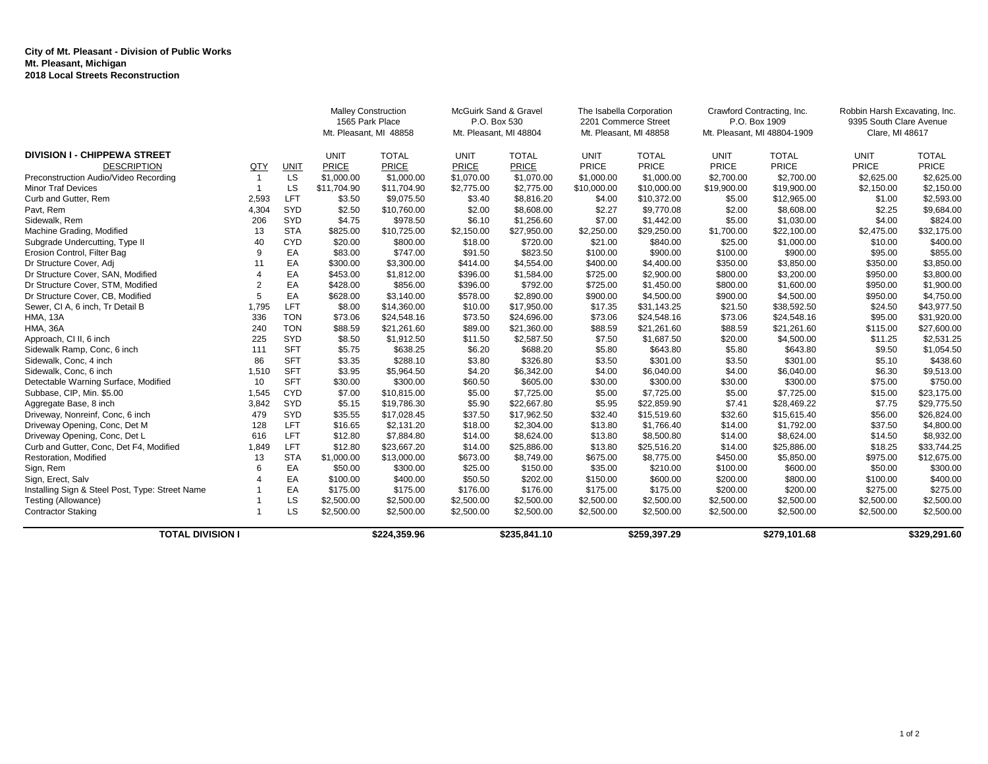## **City of Mt. Pleasant - Division of Public Works Mt. Pleasant, Michigan 2018 Local Streets Reconstruction**

|                                                 |                       |             | <b>Malley Construction</b><br>1565 Park Place<br>Mt. Pleasant, MI 48858 |              | McGuirk Sand & Gravel<br>P.O. Box 530<br>Mt. Pleasant, MI 48804 |              | The Isabella Corporation<br>2201 Commerce Street<br>Mt. Pleasant, MI 48858 |              | Crawford Contracting, Inc.<br>P.O. Box 1909<br>Mt. Pleasant, MI 48804-1909 |              | Robbin Harsh Excavating, Inc.<br>9395 South Clare Avenue<br>Clare, MI 48617 |              |
|-------------------------------------------------|-----------------------|-------------|-------------------------------------------------------------------------|--------------|-----------------------------------------------------------------|--------------|----------------------------------------------------------------------------|--------------|----------------------------------------------------------------------------|--------------|-----------------------------------------------------------------------------|--------------|
| <b>DIVISION I - CHIPPEWA STREET</b>             |                       |             | <b>UNIT</b>                                                             | <b>TOTAL</b> | <b>UNIT</b>                                                     | <b>TOTAL</b> | <b>UNIT</b>                                                                | <b>TOTAL</b> | <b>UNIT</b>                                                                | <b>TOTAL</b> | <b>UNIT</b>                                                                 | <b>TOTAL</b> |
| <b>DESCRIPTION</b>                              | QTY                   | <b>UNIT</b> | PRICE                                                                   | <b>PRICE</b> | PRICE                                                           | <b>PRICE</b> | <b>PRICE</b>                                                               | PRICE        | <b>PRICE</b>                                                               | PRICE        | <b>PRICE</b>                                                                | PRICE        |
| Preconstruction Audio/Video Recording           | $\overline{1}$        | LS          | \$1,000.00                                                              | \$1,000.00   | \$1,070.00                                                      | \$1,070.00   | \$1,000.00                                                                 | \$1,000.00   | \$2,700.00                                                                 | \$2,700.00   | \$2,625.00                                                                  | \$2,625.00   |
| <b>Minor Traf Devices</b>                       |                       | LS          | \$11.704.90                                                             | \$11,704.90  | \$2,775.00                                                      | \$2,775.00   | \$10,000.00                                                                | \$10,000.00  | \$19,900.00                                                                | \$19,900.00  | \$2,150.00                                                                  | \$2,150.00   |
| Curb and Gutter, Rem                            | 2,593                 | LFT         | \$3.50                                                                  | \$9,075.50   | \$3.40                                                          | \$8,816.20   | \$4.00                                                                     | \$10,372.00  | \$5.00                                                                     | \$12,965.00  | \$1.00                                                                      | \$2,593.00   |
| Pavt, Rem                                       | 4,304                 | SYD         | \$2.50                                                                  | \$10,760.00  | \$2.00                                                          | \$8,608.00   | \$2.27                                                                     | \$9,770.08   | \$2.00                                                                     | \$8,608.00   | \$2.25                                                                      | \$9,684.00   |
| Sidewalk, Rem                                   | 206                   | SYD         | \$4.75                                                                  | \$978.50     | \$6.10                                                          | \$1,256.60   | \$7.00                                                                     | \$1,442.00   | \$5.00                                                                     | \$1,030.00   | \$4.00                                                                      | \$824.00     |
| Machine Grading, Modified                       | 13                    | <b>STA</b>  | \$825.00                                                                | \$10,725.00  | \$2,150.00                                                      | \$27,950.00  | \$2,250.00                                                                 | \$29,250.00  | \$1,700.00                                                                 | \$22,100.00  | \$2,475.00                                                                  | \$32,175.00  |
| Subgrade Undercutting, Type II                  | 40                    | <b>CYD</b>  | \$20.00                                                                 | \$800.00     | \$18.00                                                         | \$720.00     | \$21.00                                                                    | \$840.00     | \$25.00                                                                    | \$1,000.00   | \$10.00                                                                     | \$400.00     |
| Erosion Control, Filter Bag                     | 9                     | EA          | \$83.00                                                                 | \$747.00     | \$91.50                                                         | \$823.50     | \$100.00                                                                   | \$900.00     | \$100.00                                                                   | \$900.00     | \$95.00                                                                     | \$855.00     |
| Dr Structure Cover, Adj                         | 11                    | EA          | \$300.00                                                                | \$3,300.00   | \$414.00                                                        | \$4,554.00   | \$400.00                                                                   | \$4,400.00   | \$350.00                                                                   | \$3,850.00   | \$350.00                                                                    | \$3,850.00   |
| Dr Structure Cover, SAN, Modified               | $\boldsymbol{\Delta}$ | EA          | \$453.00                                                                | \$1,812.00   | \$396.00                                                        | \$1,584.00   | \$725.00                                                                   | \$2,900.00   | \$800.00                                                                   | \$3,200.00   | \$950.00                                                                    | \$3,800.00   |
| Dr Structure Cover, STM, Modified               | $\overline{2}$        | EA          | \$428.00                                                                | \$856.00     | \$396.00                                                        | \$792.00     | \$725.00                                                                   | \$1,450.00   | \$800.00                                                                   | \$1,600.00   | \$950.00                                                                    | \$1,900.00   |
| Dr Structure Cover, CB, Modified                | 5                     | EA          | \$628.00                                                                | \$3,140.00   | \$578.00                                                        | \$2,890.00   | \$900.00                                                                   | \$4,500.00   | \$900.00                                                                   | \$4,500.00   | \$950.00                                                                    | \$4,750.00   |
| Sewer, CI A, 6 inch, Tr Detail B                | 1,795                 | LFT         | \$8.00                                                                  | \$14,360.00  | \$10.00                                                         | \$17,950.00  | \$17.35                                                                    | \$31,143.25  | \$21.50                                                                    | \$38,592.50  | \$24.50                                                                     | \$43,977.50  |
| <b>HMA, 13A</b>                                 | 336                   | <b>TON</b>  | \$73.06                                                                 | \$24,548.16  | \$73.50                                                         | \$24,696.00  | \$73.06                                                                    | \$24,548.16  | \$73.06                                                                    | \$24,548.16  | \$95.00                                                                     | \$31,920.00  |
| <b>HMA, 36A</b>                                 | 240                   | <b>TON</b>  | \$88.59                                                                 | \$21,261.60  | \$89.00                                                         | \$21,360.00  | \$88.59                                                                    | \$21,261.60  | \$88.59                                                                    | \$21,261.60  | \$115.00                                                                    | \$27,600.00  |
| Approach, CI II, 6 inch                         | 225                   | SYD         | \$8.50                                                                  | \$1,912.50   | \$11.50                                                         | \$2,587.50   | \$7.50                                                                     | \$1,687.50   | \$20.00                                                                    | \$4,500.00   | \$11.25                                                                     | \$2,531.25   |
| Sidewalk Ramp, Conc, 6 inch                     | 111                   | <b>SFT</b>  | \$5.75                                                                  | \$638.25     | \$6.20                                                          | \$688.20     | \$5.80                                                                     | \$643.80     | \$5.80                                                                     | \$643.80     | \$9.50                                                                      | \$1,054.50   |
| Sidewalk, Conc, 4 inch                          | 86                    | <b>SFT</b>  | \$3.35                                                                  | \$288.10     | \$3.80                                                          | \$326.80     | \$3.50                                                                     | \$301.00     | \$3.50                                                                     | \$301.00     | \$5.10                                                                      | \$438.60     |
| Sidewalk, Conc, 6 inch                          | 1,510                 | <b>SFT</b>  | \$3.95                                                                  | \$5,964.50   | \$4.20                                                          | \$6,342.00   | \$4.00                                                                     | \$6,040.00   | \$4.00                                                                     | \$6,040.00   | \$6.30                                                                      | \$9,513.00   |
| Detectable Warning Surface, Modified            | 10                    | <b>SFT</b>  | \$30.00                                                                 | \$300.00     | \$60.50                                                         | \$605.00     | \$30.00                                                                    | \$300.00     | \$30.00                                                                    | \$300.00     | \$75.00                                                                     | \$750.00     |
| Subbase, CIP, Min. \$5.00                       | 1,545                 | CYD         | \$7.00                                                                  | \$10,815.00  | \$5.00                                                          | \$7,725.00   | \$5.00                                                                     | \$7,725.00   | \$5.00                                                                     | \$7,725.00   | \$15.00                                                                     | \$23,175.00  |
| Aggregate Base, 8 inch                          | 3,842                 | SYD         | \$5.15                                                                  | \$19,786.30  | \$5.90                                                          | \$22,667.80  | \$5.95                                                                     | \$22,859.90  | \$7.41                                                                     | \$28,469.22  | \$7.75                                                                      | \$29,775.50  |
| Driveway, Nonreinf, Conc, 6 inch                | 479                   | SYD         | \$35.55                                                                 | \$17,028.45  | \$37.50                                                         | \$17,962.50  | \$32.40                                                                    | \$15,519.60  | \$32.60                                                                    | \$15,615.40  | \$56.00                                                                     | \$26,824.00  |
| Driveway Opening, Conc, Det M                   | 128                   | <b>LFT</b>  | \$16.65                                                                 | \$2,131.20   | \$18.00                                                         | \$2,304.00   | \$13.80                                                                    | \$1,766.40   | \$14.00                                                                    | \$1,792.00   | \$37.50                                                                     | \$4,800.00   |
| Driveway Opening, Conc, Det L                   | 616                   | <b>LFT</b>  | \$12.80                                                                 | \$7,884.80   | \$14.00                                                         | \$8,624.00   | \$13.80                                                                    | \$8,500.80   | \$14.00                                                                    | \$8,624.00   | \$14.50                                                                     | \$8,932.00   |
| Curb and Gutter, Conc, Det F4, Modified         | 1,849                 | <b>LFT</b>  | \$12.80                                                                 | \$23,667.20  | \$14.00                                                         | \$25,886.00  | \$13.80                                                                    | \$25,516.20  | \$14.00                                                                    | \$25,886.00  | \$18.25                                                                     | \$33,744.25  |
| Restoration, Modified                           | 13                    | <b>STA</b>  | \$1,000.00                                                              | \$13,000.00  | \$673.00                                                        | \$8,749.00   | \$675.00                                                                   | \$8,775.00   | \$450.00                                                                   | \$5,850.00   | \$975.00                                                                    | \$12,675.00  |
| Sign, Rem                                       |                       | EA          | \$50.00                                                                 | \$300.00     | \$25.00                                                         | \$150.00     | \$35.00                                                                    | \$210.00     | \$100.00                                                                   | \$600.00     | \$50.00                                                                     | \$300.00     |
| Sign, Erect, Salv                               |                       | EA          | \$100.00                                                                | \$400.00     | \$50.50                                                         | \$202.00     | \$150.00                                                                   | \$600.00     | \$200.00                                                                   | \$800.00     | \$100.00                                                                    | \$400.00     |
| Installing Sign & Steel Post, Type: Street Name |                       | EA          | \$175.00                                                                | \$175.00     | \$176.00                                                        | \$176.00     | \$175.00                                                                   | \$175.00     | \$200.00                                                                   | \$200.00     | \$275.00                                                                    | \$275.00     |
| Testing (Allowance)                             |                       | LS          | \$2,500.00                                                              | \$2,500.00   | \$2,500.00                                                      | \$2,500.00   | \$2,500.00                                                                 | \$2,500.00   | \$2,500.00                                                                 | \$2,500.00   | \$2,500.00                                                                  | \$2,500.00   |
| <b>Contractor Staking</b>                       |                       | LS          | \$2,500.00                                                              | \$2,500.00   | \$2,500.00                                                      | \$2,500.00   | \$2,500.00                                                                 | \$2,500.00   | \$2,500.00                                                                 | \$2,500.00   | \$2,500.00                                                                  | \$2,500.00   |
| <b>TOTAL DIVISION I</b>                         |                       |             | \$224,359.96                                                            |              | \$235,841.10                                                    |              | \$259,397.29                                                               |              | \$279,101.68                                                               |              | \$329,291.60                                                                |              |